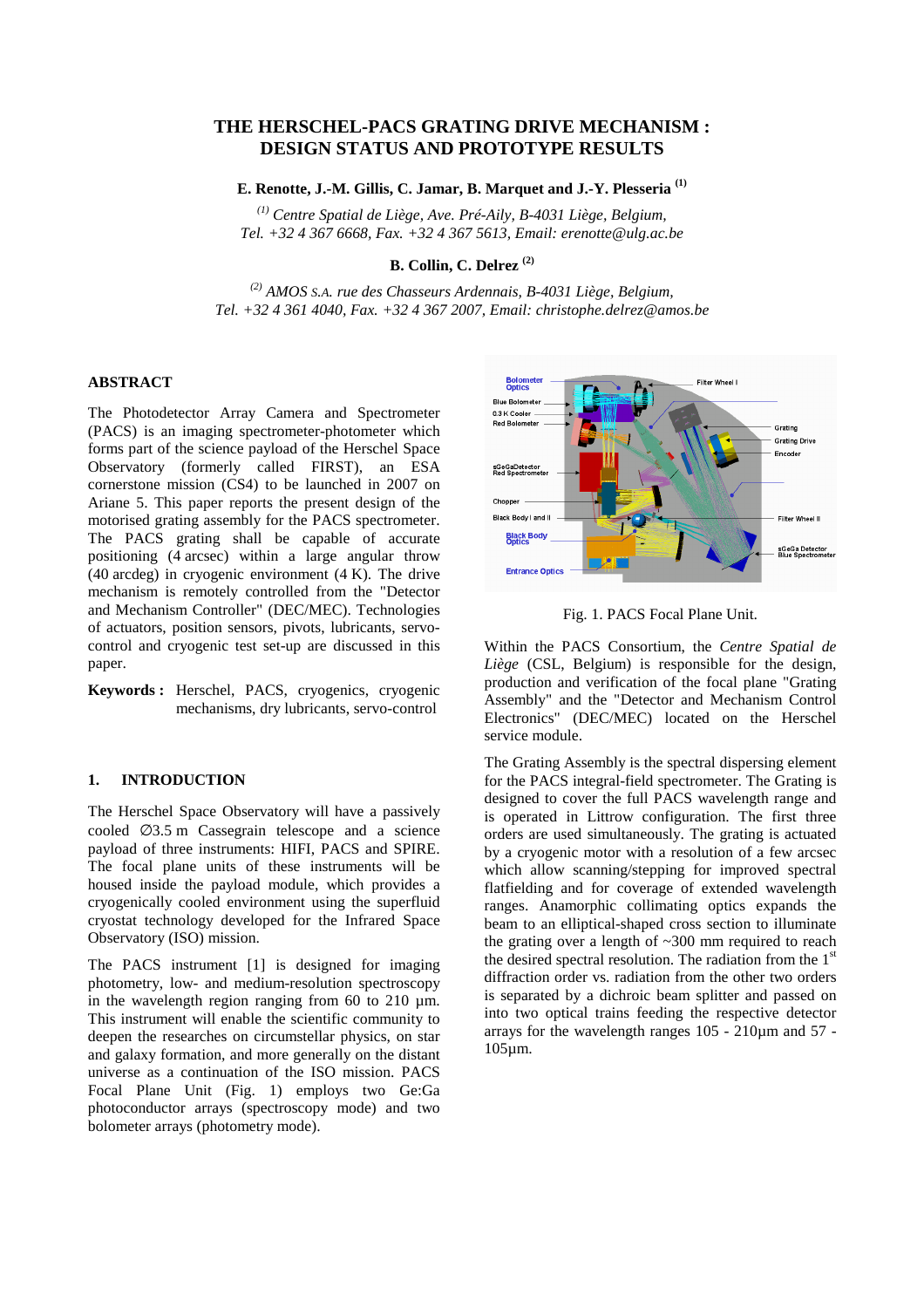# **THE HERSCHEL-PACS GRATING DRIVE MECHANISM : DESIGN STATUS AND PROTOTYPE RESULTS**

**E. Renotte, J.-M. Gillis, C. Jamar, B. Marquet and J.-Y. Plesseria (1)**

*(1) Centre Spatial de Liège, Ave. Pré-Aily, B-4031 Liège, Belgium, Tel. +32 4 367 6668, Fax. +32 4 367 5613, Email: erenotte@ulg.ac.be*

**B. Collin, C. Delrez (2)**

*(2) AMOS S.A. rue des Chasseurs Ardennais, B-4031 Liège, Belgium, Tel. +32 4 361 4040, Fax. +32 4 367 2007, Email: christophe.delrez@amos.be*

## **ABSTRACT**

The Photodetector Array Camera and Spectrometer (PACS) is an imaging spectrometer-photometer which forms part of the science payload of the Herschel Space Observatory (formerly called FIRST), an ESA cornerstone mission (CS4) to be launched in 2007 on Ariane 5. This paper reports the present design of the motorised grating assembly for the PACS spectrometer. The PACS grating shall be capable of accurate positioning (4 arcsec) within a large angular throw  $(40 \text{ arcdeg})$  in cryogenic environment  $(4 \text{ K})$ . The drive mechanism is remotely controlled from the "Detector and Mechanism Controller" (DEC/MEC). Technologies of actuators, position sensors, pivots, lubricants, servocontrol and cryogenic test set-up are discussed in this paper.

**Keywords :** Herschel, PACS, cryogenics, cryogenic mechanisms, dry lubricants, servo-control

### **1. INTRODUCTION**

The Herschel Space Observatory will have a passively cooled  $\varnothing$ 3.5 m Cassegrain telescope and a science payload of three instruments: HIFI, PACS and SPIRE. The focal plane units of these instruments will be housed inside the payload module, which provides a cryogenically cooled environment using the superfluid cryostat technology developed for the Infrared Space Observatory (ISO) mission.

The PACS instrument [1] is designed for imaging photometry, low- and medium-resolution spectroscopy in the wavelength region ranging from  $60$  to  $210 \mu m$ . This instrument will enable the scientific community to deepen the researches on circumstellar physics, on star and galaxy formation, and more generally on the distant universe as a continuation of the ISO mission. PACS Focal Plane Unit (Fig. 1) employs two Ge:Ga photoconductor arrays (spectroscopy mode) and two bolometer arrays (photometry mode).



Fig. 1. PACS Focal Plane Unit.

Within the PACS Consortium, the *Centre Spatial de Liège* (CSL, Belgium) is responsible for the design, production and verification of the focal plane "Grating Assembly" and the "Detector and Mechanism Control Electronics" (DEC/MEC) located on the Herschel service module.

The Grating Assembly is the spectral dispersing element for the PACS integral-field spectrometer. The Grating is designed to cover the full PACS wavelength range and is operated in Littrow configuration. The first three orders are used simultaneously. The grating is actuated by a cryogenic motor with a resolution of a few arcsec which allow scanning/stepping for improved spectral flatfielding and for coverage of extended wavelength ranges. Anamorphic collimating optics expands the beam to an elliptical-shaped cross section to illuminate the grating over a length of ~300 mm required to reach the desired spectral resolution. The radiation from the  $1<sup>st</sup>$ diffraction order vs. radiation from the other two orders is separated by a dichroic beam splitter and passed on into two optical trains feeding the respective detector arrays for the wavelength ranges 105 - 210µm and 57 - 105µm.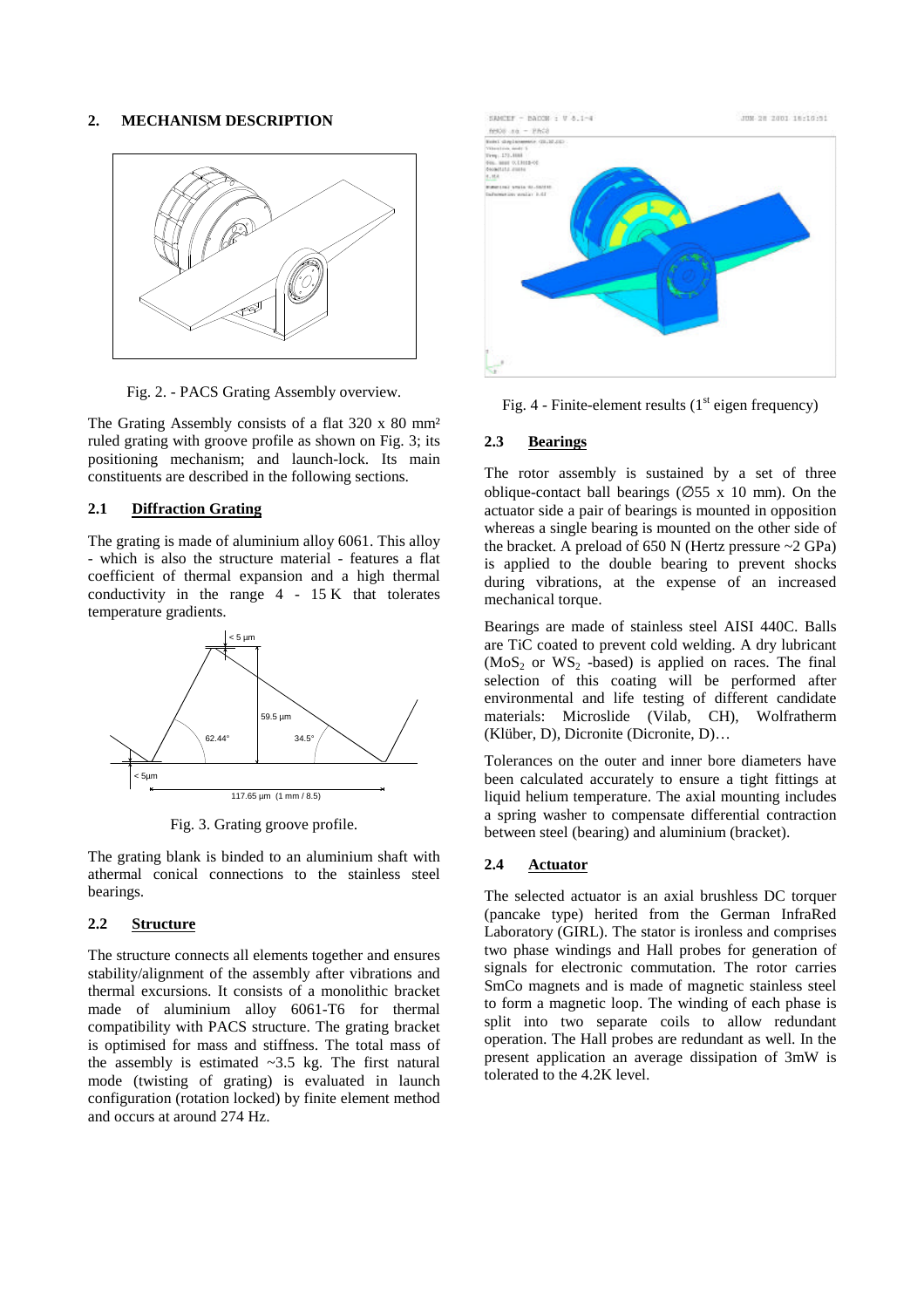#### **2. MECHANISM DESCRIPTION**



Fig. 2. - PACS Grating Assembly overview.

The Grating Assembly consists of a flat 320 x 80 mm² ruled grating with groove profile as shown on Fig. 3; its positioning mechanism; and launch-lock. Its main constituents are described in the following sections.

#### **2.1 Diffraction Grating**

The grating is made of aluminium alloy 6061. This alloy - which is also the structure material - features a flat coefficient of thermal expansion and a high thermal conductivity in the range 4 - 15 K that tolerates temperature gradients.



Fig. 3. Grating groove profile.

The grating blank is binded to an aluminium shaft with athermal conical connections to the stainless steel bearings.

### **2.2 Structure**

The structure connects all elements together and ensures stability/alignment of the assembly after vibrations and thermal excursions. It consists of a monolithic bracket made of aluminium alloy 6061-T6 for thermal compatibility with PACS structure. The grating bracket is optimised for mass and stiffness. The total mass of the assembly is estimated  $\sim$ 3.5 kg. The first natural mode (twisting of grating) is evaluated in launch configuration (rotation locked) by finite element method and occurs at around 274 Hz.



Fig. 4 - Finite-element results  $(1<sup>st</sup>$  eigen frequency)

#### **2.3 Bearings**

The rotor assembly is sustained by a set of three oblique-contact ball bearings ( $\varnothing$ 55 x 10 mm). On the actuator side a pair of bearings is mounted in opposition whereas a single bearing is mounted on the other side of the bracket. A preload of 650 N (Hertz pressure ~2 GPa) is applied to the double bearing to prevent shocks during vibrations, at the expense of an increased mechanical torque.

Bearings are made of stainless steel AISI 440C. Balls are TiC coated to prevent cold welding. A dry lubricant  $(MoS<sub>2</sub>$  or WS<sub>2</sub> -based) is applied on races. The final selection of this coating will be performed after environmental and life testing of different candidate materials: Microslide (Vilab, CH), Wolfratherm (Klüber, D), Dicronite (Dicronite, D)…

Tolerances on the outer and inner bore diameters have been calculated accurately to ensure a tight fittings at liquid helium temperature. The axial mounting includes a spring washer to compensate differential contraction between steel (bearing) and aluminium (bracket).

# **2.4 Actuator**

The selected actuator is an axial brushless DC torquer (pancake type) herited from the German InfraRed Laboratory (GIRL). The stator is ironless and comprises two phase windings and Hall probes for generation of signals for electronic commutation. The rotor carries SmCo magnets and is made of magnetic stainless steel to form a magnetic loop. The winding of each phase is split into two separate coils to allow redundant operation. The Hall probes are redundant as well. In the present application an average dissipation of 3mW is tolerated to the 4.2K level.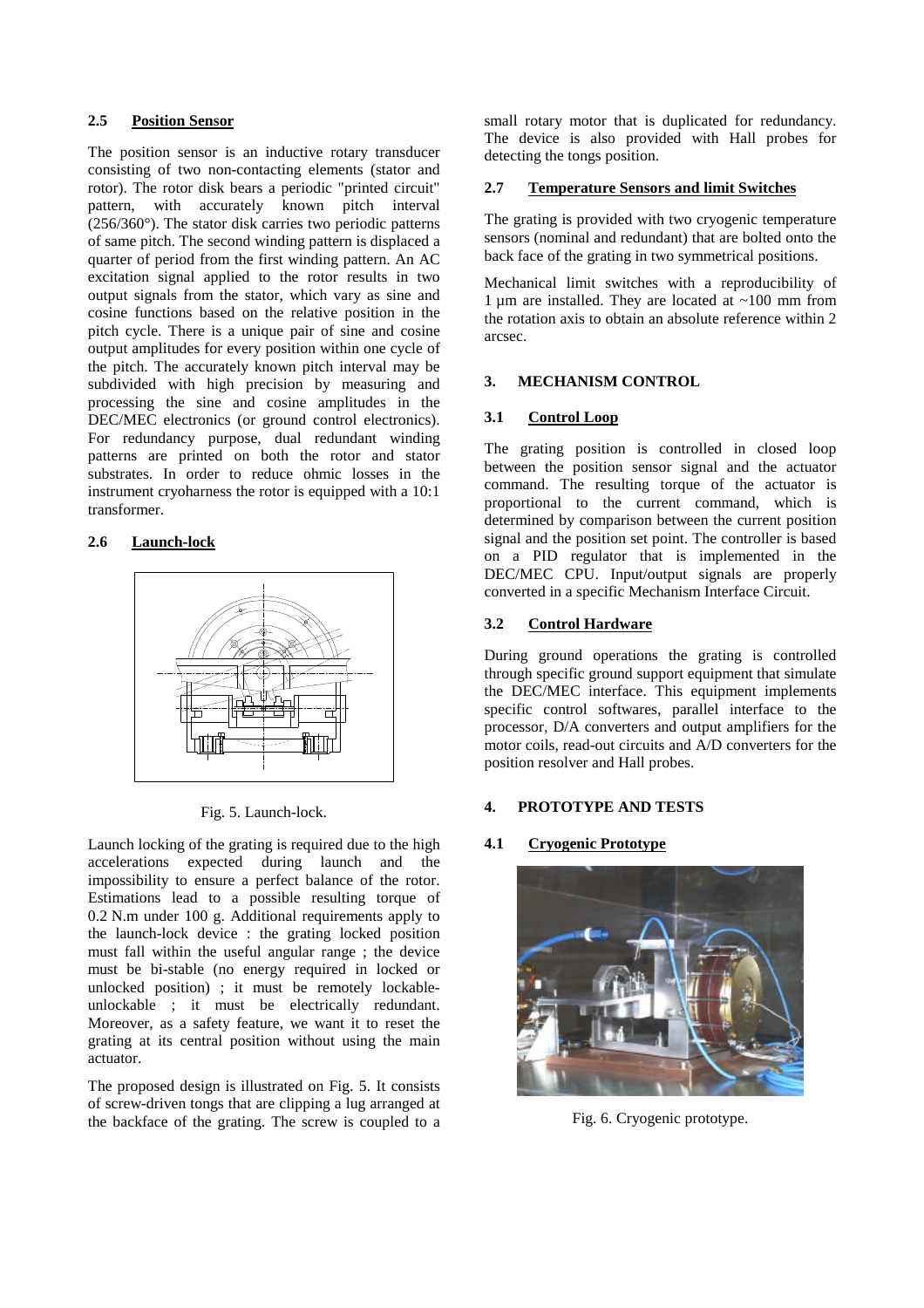# **2.5 Position Sensor**

The position sensor is an inductive rotary transducer consisting of two non-contacting elements (stator and rotor). The rotor disk bears a periodic "printed circuit" pattern, with accurately known pitch interval (256/360°). The stator disk carries two periodic patterns of same pitch. The second winding pattern is displaced a quarter of period from the first winding pattern. An AC excitation signal applied to the rotor results in two output signals from the stator, which vary as sine and cosine functions based on the relative position in the pitch cycle. There is a unique pair of sine and cosine output amplitudes for every position within one cycle of the pitch. The accurately known pitch interval may be subdivided with high precision by measuring and processing the sine and cosine amplitudes in the DEC/MEC electronics (or ground control electronics). For redundancy purpose, dual redundant winding patterns are printed on both the rotor and stator substrates. In order to reduce ohmic losses in the instrument cryoharness the rotor is equipped with a 10:1 transformer.

# **2.6 Launch-lock**



Fig. 5. Launch-lock.

Launch locking of the grating is required due to the high accelerations expected during launch and the impossibility to ensure a perfect balance of the rotor. Estimations lead to a possible resulting torque of 0.2 N.m under 100 g. Additional requirements apply to the launch-lock device : the grating locked position must fall within the useful angular range ; the device must be bi-stable (no energy required in locked or unlocked position) ; it must be remotely lockableunlockable ; it must be electrically redundant. Moreover, as a safety feature, we want it to reset the grating at its central position without using the main actuator.

The proposed design is illustrated on Fig. 5. It consists of screw-driven tongs that are clipping a lug arranged at the backface of the grating. The screw is coupled to a small rotary motor that is duplicated for redundancy. The device is also provided with Hall probes for detecting the tongs position.

### **2.7 Temperature Sensors and limit Switches**

The grating is provided with two cryogenic temperature sensors (nominal and redundant) that are bolted onto the back face of the grating in two symmetrical positions.

Mechanical limit switches with a reproducibility of 1  $\mu$ m are installed. They are located at ~100 mm from the rotation axis to obtain an absolute reference within 2 arcsec.

### **3. MECHANISM CONTROL**

# **3.1 Control Loop**

The grating position is controlled in closed loop between the position sensor signal and the actuator command. The resulting torque of the actuator is proportional to the current command, which is determined by comparison between the current position signal and the position set point. The controller is based on a PID regulator that is implemented in the DEC/MEC CPU. Input/output signals are properly converted in a specific Mechanism Interface Circuit.

### **3.2 Control Hardware**

During ground operations the grating is controlled through specific ground support equipment that simulate the DEC/MEC interface. This equipment implements specific control softwares, parallel interface to the processor, D/A converters and output amplifiers for the motor coils, read-out circuits and A/D converters for the position resolver and Hall probes.

### **4. PROTOTYPE AND TESTS**

### **4.1 Cryogenic Prototype**



Fig. 6. Cryogenic prototype.